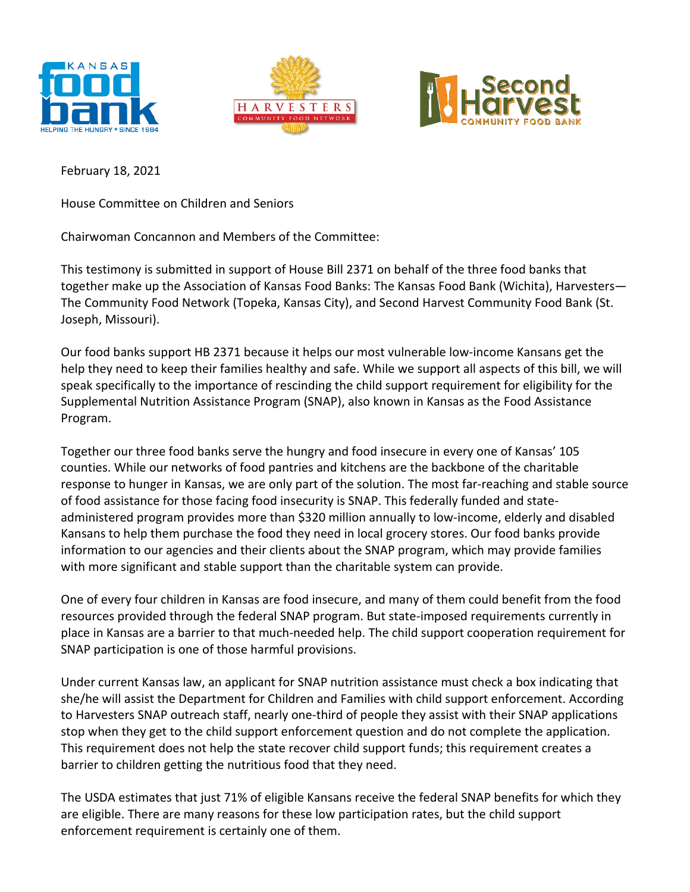





February 18, 2021

House Committee on Children and Seniors

Chairwoman Concannon and Members of the Committee:

This testimony is submitted in support of House Bill 2371 on behalf of the three food banks that together make up the Association of Kansas Food Banks: The Kansas Food Bank (Wichita), Harvesters— The Community Food Network (Topeka, Kansas City), and Second Harvest Community Food Bank (St. Joseph, Missouri).

Our food banks support HB 2371 because it helps our most vulnerable low-income Kansans get the help they need to keep their families healthy and safe. While we support all aspects of this bill, we will speak specifically to the importance of rescinding the child support requirement for eligibility for the Supplemental Nutrition Assistance Program (SNAP), also known in Kansas as the Food Assistance Program.

Together our three food banks serve the hungry and food insecure in every one of Kansas' 105 counties. While our networks of food pantries and kitchens are the backbone of the charitable response to hunger in Kansas, we are only part of the solution. The most far-reaching and stable source of food assistance for those facing food insecurity is SNAP. This federally funded and stateadministered program provides more than \$320 million annually to low-income, elderly and disabled Kansans to help them purchase the food they need in local grocery stores. Our food banks provide information to our agencies and their clients about the SNAP program, which may provide families with more significant and stable support than the charitable system can provide.

One of every four children in Kansas are food insecure, and many of them could benefit from the food resources provided through the federal SNAP program. But state-imposed requirements currently in place in Kansas are a barrier to that much-needed help. The child support cooperation requirement for SNAP participation is one of those harmful provisions.

Under current Kansas law, an applicant for SNAP nutrition assistance must check a box indicating that she/he will assist the Department for Children and Families with child support enforcement. According to Harvesters SNAP outreach staff, nearly one-third of people they assist with their SNAP applications stop when they get to the child support enforcement question and do not complete the application. This requirement does not help the state recover child support funds; this requirement creates a barrier to children getting the nutritious food that they need.

The USDA estimates that just 71% of eligible Kansans receive the federal SNAP benefits for which they are eligible. There are many reasons for these low participation rates, but the child support enforcement requirement is certainly one of them.